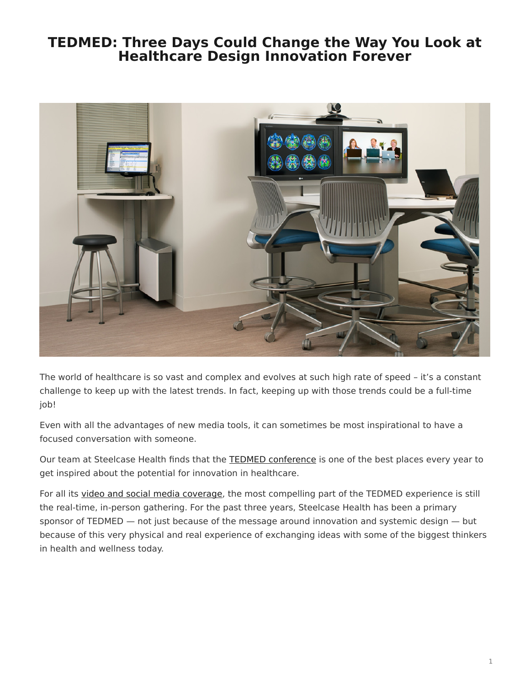## <span id="page-0-0"></span>**TEDMED: Three Days Could Change the Way You Look at Healthcare Design Innovation Forever**



The world of healthcare is so vast and complex and evolves at such high rate of speed – it's a constant challenge to keep up with the latest trends. In fact, keeping up with those trends could be a full-time job!

Even with all the advantages of new media tools, it can sometimes be most inspirational to have a focused conversation with someone.

Our team at Steelcase Health finds that the [TEDMED conference](http://www.tedmed.com/home) is one of the best places every year to get inspired about the potential for innovation in healthcare.

For all its [video and social media coverage,](http://youtu.be/PP3NsIk5xp8) the most compelling part of the TEDMED experience is still the real-time, in-person gathering. For the past three years, Steelcase Health has been a primary sponsor of TEDMED — not just because of the message around innovation and systemic design — but because of this very physical and real experience of exchanging ideas with some of the biggest thinkers in health and wellness today.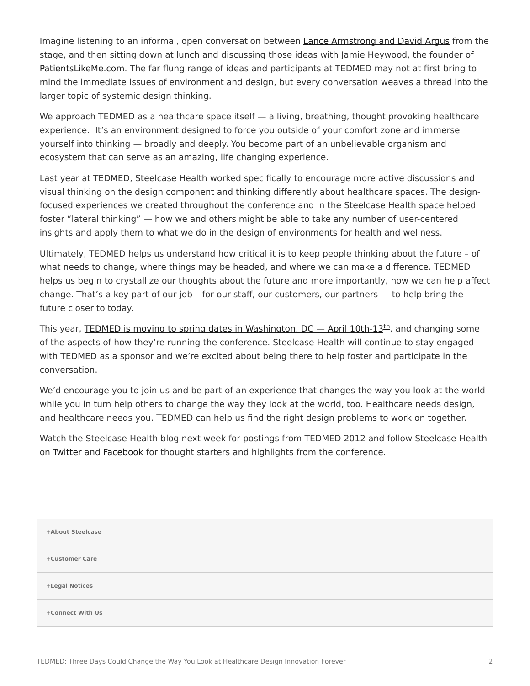Imagine listening to an informal, open conversation between [Lance Armstrong and David Argus](http://www.tedmed.com/2011speakers) from the stage, and then sitting down at lunch and discussing those ideas with Jamie Heywood, the founder of [PatientsLikeMe.com.](http://www.patientslikeme.com/) The far flung range of ideas and participants at TEDMED may not at first bring to mind the immediate issues of environment and design, but every conversation weaves a thread into the larger topic of systemic design thinking.

We approach TEDMED as a healthcare space itself — a living, breathing, thought provoking healthcare experience. It's an environment designed to force you outside of your comfort zone and immerse yourself into thinking — broadly and deeply. You become part of an unbelievable organism and ecosystem that can serve as an amazing, life changing experience.

Last year at TEDMED, Steelcase Health worked specifically to encourage more active discussions and visual thinking on the design component and thinking differently about healthcare spaces. The designfocused experiences we created throughout the conference and in the Steelcase Health space helped foster "lateral thinking" — how we and others might be able to take any number of user-centered insights and apply them to what we do in the design of environments for health and wellness.

Ultimately, TEDMED helps us understand how critical it is to keep people thinking about the future – of what needs to change, where things may be headed, and where we can make a difference. TEDMED helps us begin to crystallize our thoughts about the future and more importantly, how we can help affect change. That's a key part of our job – for our staff, our customers, our partners — to help bring the future closer to today.

This year, **TEDMED** is moving to spring dates in Washington,  $DC -$  April 10[th](http://www.tedmed.com/register)-13<sup>th</sup>, and changing some of the aspects of how they're running the conference. Steelcase Health will continue to stay engaged with TEDMED as a sponsor and we're excited about being there to help foster and participate in the conversation.

We'd encourage you to join us and be part of an experience that changes the way you look at the world while you in turn help others to change the way they look at the world, too. Healthcare needs design, and healthcare needs you. TEDMED can help us find the right design problems to work on together.

Watch the Steelcase Health blog next week for postings from TEDMED 2012 and follow Steelcase Health on [Twitter](http://twitter.com/steelcasehealth) and [Facebook](http://facebook.com/steelcasehealth) for thought starters and highlights from the conference.

| +About Steelcase |  |
|------------------|--|
| +Customer Care   |  |
| +Legal Notices   |  |
| +Connect With Us |  |